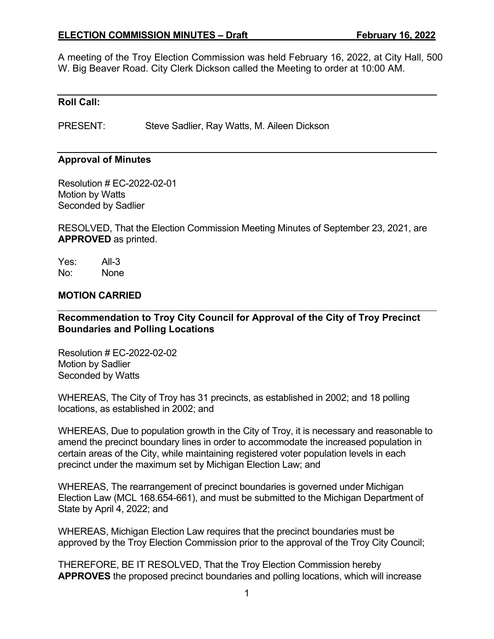#### **ELECTION COMMISSION MINUTES – Draft February 16, 2022**

A meeting of the Troy Election Commission was held February 16, 2022, at City Hall, 500 W. Big Beaver Road. City Clerk Dickson called the Meeting to order at 10:00 AM.

#### **Roll Call:**

PRESENT: Steve Sadlier, Ray Watts, M. Aileen Dickson

#### **Approval of Minutes**

Resolution # EC-2022-02-01 Motion by Watts Seconded by Sadlier

RESOLVED, That the Election Commission Meeting Minutes of September 23, 2021, are **APPROVED** as printed.

Yes: All-3 No: None

#### **MOTION CARRIED**

**Recommendation to Troy City Council for Approval of the City of Troy Precinct Boundaries and Polling Locations** 

Resolution # EC-2022-02-02 Motion by Sadlier Seconded by Watts

WHEREAS, The City of Troy has 31 precincts, as established in 2002; and 18 polling locations, as established in 2002; and

WHEREAS, Due to population growth in the City of Troy, it is necessary and reasonable to amend the precinct boundary lines in order to accommodate the increased population in certain areas of the City, while maintaining registered voter population levels in each precinct under the maximum set by Michigan Election Law; and

WHEREAS, The rearrangement of precinct boundaries is governed under Michigan Election Law (MCL 168.654-661), and must be submitted to the Michigan Department of State by April 4, 2022; and

WHEREAS, Michigan Election Law requires that the precinct boundaries must be approved by the Troy Election Commission prior to the approval of the Troy City Council;

THEREFORE, BE IT RESOLVED, That the Troy Election Commission hereby **APPROVES** the proposed precinct boundaries and polling locations, which will increase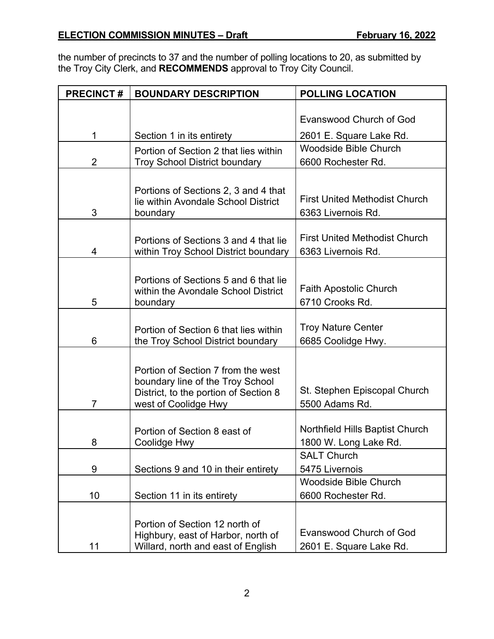the number of precincts to 37 and the number of polling locations to 20, as submitted by the Troy City Clerk, and **RECOMMENDS** approval to Troy City Council.

| <b>PRECINCT#</b> | <b>BOUNDARY DESCRIPTION</b>                                                   | <b>POLLING LOCATION</b>                            |
|------------------|-------------------------------------------------------------------------------|----------------------------------------------------|
|                  |                                                                               |                                                    |
|                  |                                                                               | <b>Evanswood Church of God</b>                     |
| 1                | Section 1 in its entirety                                                     | 2601 E. Square Lake Rd.                            |
|                  | Portion of Section 2 that lies within                                         | <b>Woodside Bible Church</b>                       |
| $\overline{2}$   | <b>Troy School District boundary</b>                                          | 6600 Rochester Rd.                                 |
|                  |                                                                               |                                                    |
|                  | Portions of Sections 2, 3 and 4 that                                          |                                                    |
|                  | lie within Avondale School District                                           | <b>First United Methodist Church</b>               |
| 3                | boundary                                                                      | 6363 Livernois Rd.                                 |
|                  |                                                                               | <b>First United Methodist Church</b>               |
| 4                | Portions of Sections 3 and 4 that lie<br>within Troy School District boundary | 6363 Livernois Rd.                                 |
|                  |                                                                               |                                                    |
|                  | Portions of Sections 5 and 6 that lie                                         |                                                    |
|                  | within the Avondale School District                                           | <b>Faith Apostolic Church</b>                      |
| 5                | boundary                                                                      | 6710 Crooks Rd.                                    |
|                  |                                                                               |                                                    |
|                  | Portion of Section 6 that lies within                                         | <b>Troy Nature Center</b>                          |
| 6                | the Troy School District boundary                                             | 6685 Coolidge Hwy.                                 |
|                  | Portion of Section 7 from the west                                            |                                                    |
|                  | boundary line of the Troy School                                              |                                                    |
|                  | District, to the portion of Section 8                                         | St. Stephen Episcopal Church                       |
| $\overline{7}$   | west of Coolidge Hwy                                                          | 5500 Adams Rd.                                     |
|                  |                                                                               |                                                    |
|                  | Portion of Section 8 east of                                                  | Northfield Hills Baptist Church                    |
| 8                | Coolidge Hwy                                                                  | 1800 W. Long Lake Rd.                              |
|                  |                                                                               | <b>SALT Church</b><br>5475 Livernois               |
| 9                | Sections 9 and 10 in their entirety                                           |                                                    |
| 10               |                                                                               | <b>Woodside Bible Church</b><br>6600 Rochester Rd. |
|                  | Section 11 in its entirety                                                    |                                                    |
|                  |                                                                               |                                                    |
|                  | Portion of Section 12 north of<br>Highbury, east of Harbor, north of          | <b>Evanswood Church of God</b>                     |
| 11               | Willard, north and east of English                                            | 2601 E. Square Lake Rd.                            |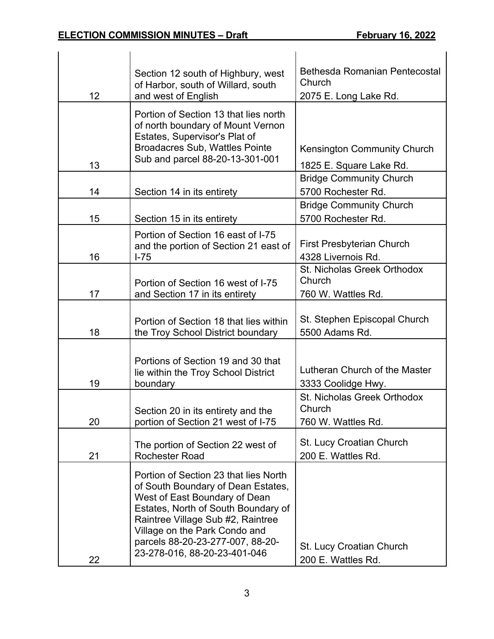|    | Section 12 south of Highbury, west<br>of Harbor, south of Willard, south                                                                                                                                                                                                                      | <b>Bethesda Romanian Pentecostal</b><br>Church              |
|----|-----------------------------------------------------------------------------------------------------------------------------------------------------------------------------------------------------------------------------------------------------------------------------------------------|-------------------------------------------------------------|
| 12 | and west of English                                                                                                                                                                                                                                                                           | 2075 E. Long Lake Rd.                                       |
| 13 | Portion of Section 13 that lies north<br>of north boundary of Mount Vernon<br>Estates, Supervisor's Plat of<br><b>Broadacres Sub, Wattles Pointe</b><br>Sub and parcel 88-20-13-301-001                                                                                                       | <b>Kensington Community Church</b>                          |
|    |                                                                                                                                                                                                                                                                                               | 1825 E. Square Lake Rd.                                     |
| 14 | Section 14 in its entirety                                                                                                                                                                                                                                                                    | <b>Bridge Community Church</b><br>5700 Rochester Rd.        |
| 15 | Section 15 in its entirety                                                                                                                                                                                                                                                                    | <b>Bridge Community Church</b><br>5700 Rochester Rd.        |
| 16 | Portion of Section 16 east of I-75<br>and the portion of Section 21 east of<br>$I-75$                                                                                                                                                                                                         | <b>First Presbyterian Church</b><br>4328 Livernois Rd.      |
| 17 | Portion of Section 16 west of I-75<br>and Section 17 in its entirety                                                                                                                                                                                                                          | St. Nicholas Greek Orthodox<br>Church<br>760 W. Wattles Rd. |
| 18 | Portion of Section 18 that lies within<br>the Troy School District boundary                                                                                                                                                                                                                   | St. Stephen Episcopal Church<br>5500 Adams Rd.              |
| 19 | Portions of Section 19 and 30 that<br>lie within the Troy School District<br>boundary                                                                                                                                                                                                         | Lutheran Church of the Master<br>3333 Coolidge Hwy.         |
| 20 | Section 20 in its entirety and the<br>portion of Section 21 west of I-75                                                                                                                                                                                                                      | St. Nicholas Greek Orthodox<br>Church<br>760 W. Wattles Rd. |
| 21 | The portion of Section 22 west of<br><b>Rochester Road</b>                                                                                                                                                                                                                                    | <b>St. Lucy Croatian Church</b><br>200 E. Wattles Rd.       |
| 22 | Portion of Section 23 that lies North<br>of South Boundary of Dean Estates,<br>West of East Boundary of Dean<br>Estates, North of South Boundary of<br>Raintree Village Sub #2, Raintree<br>Village on the Park Condo and<br>parcels 88-20-23-277-007, 88-20-<br>23-278-016, 88-20-23-401-046 | St. Lucy Croatian Church<br>200 E. Wattles Rd.              |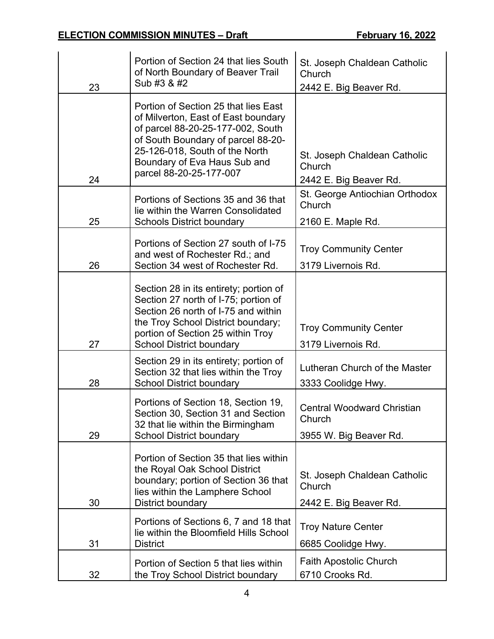|    | Portion of Section 24 that lies South                                                                                                                                                                                                               |                                                                       |
|----|-----------------------------------------------------------------------------------------------------------------------------------------------------------------------------------------------------------------------------------------------------|-----------------------------------------------------------------------|
|    | of North Boundary of Beaver Trail                                                                                                                                                                                                                   | St. Joseph Chaldean Catholic<br>Church                                |
| 23 | Sub #3 & #2                                                                                                                                                                                                                                         | 2442 E. Big Beaver Rd.                                                |
| 24 | Portion of Section 25 that lies East<br>of Milverton, East of East boundary<br>of parcel 88-20-25-177-002, South<br>of South Boundary of parcel 88-20-<br>25-126-018, South of the North<br>Boundary of Eva Haus Sub and<br>parcel 88-20-25-177-007 | St. Joseph Chaldean Catholic<br>Church<br>2442 E. Big Beaver Rd.      |
|    | Portions of Sections 35 and 36 that<br>lie within the Warren Consolidated                                                                                                                                                                           | St. George Antiochian Orthodox<br>Church                              |
| 25 | <b>Schools District boundary</b>                                                                                                                                                                                                                    | 2160 E. Maple Rd.                                                     |
|    | Portions of Section 27 south of I-75                                                                                                                                                                                                                | <b>Troy Community Center</b>                                          |
| 26 | and west of Rochester Rd.; and<br>Section 34 west of Rochester Rd.                                                                                                                                                                                  | 3179 Livernois Rd.                                                    |
|    |                                                                                                                                                                                                                                                     |                                                                       |
| 27 | Section 28 in its entirety; portion of<br>Section 27 north of I-75; portion of<br>Section 26 north of I-75 and within<br>the Troy School District boundary;<br>portion of Section 25 within Troy<br><b>School District boundary</b>                 | <b>Troy Community Center</b><br>3179 Livernois Rd.                    |
|    | Section 29 in its entirety; portion of                                                                                                                                                                                                              |                                                                       |
| 28 | Section 32 that lies within the Troy<br><b>School District boundary</b>                                                                                                                                                                             | Lutheran Church of the Master<br>3333 Coolidge Hwy.                   |
| 29 | Portions of Section 18, Section 19,<br>Section 30, Section 31 and Section<br>32 that lie within the Birmingham<br><b>School District boundary</b>                                                                                                   | <b>Central Woodward Christian</b><br>Church<br>3955 W. Big Beaver Rd. |
| 30 | Portion of Section 35 that lies within<br>the Royal Oak School District<br>boundary; portion of Section 36 that<br>lies within the Lamphere School<br>District boundary                                                                             | St. Joseph Chaldean Catholic<br>Church<br>2442 E. Big Beaver Rd.      |
|    | Portions of Sections 6, 7 and 18 that                                                                                                                                                                                                               |                                                                       |
| 31 | lie within the Bloomfield Hills School<br><b>District</b>                                                                                                                                                                                           | <b>Troy Nature Center</b><br>6685 Coolidge Hwy.                       |
|    |                                                                                                                                                                                                                                                     |                                                                       |
| 32 | Portion of Section 5 that lies within<br>the Troy School District boundary                                                                                                                                                                          | <b>Faith Apostolic Church</b><br>6710 Crooks Rd.                      |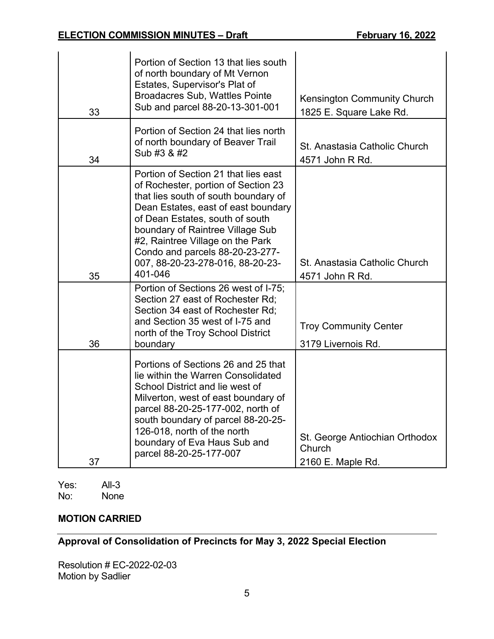| 33 | Portion of Section 13 that lies south<br>of north boundary of Mt Vernon<br>Estates, Supervisor's Plat of<br><b>Broadacres Sub, Wattles Pointe</b><br>Sub and parcel 88-20-13-301-001                                                                                                                                                                    | <b>Kensington Community Church</b><br>1825 E. Square Lake Rd. |
|----|---------------------------------------------------------------------------------------------------------------------------------------------------------------------------------------------------------------------------------------------------------------------------------------------------------------------------------------------------------|---------------------------------------------------------------|
| 34 | Portion of Section 24 that lies north<br>of north boundary of Beaver Trail<br>Sub #3 & #2                                                                                                                                                                                                                                                               | St. Anastasia Catholic Church<br>4571 John R Rd.              |
| 35 | Portion of Section 21 that lies east<br>of Rochester, portion of Section 23<br>that lies south of south boundary of<br>Dean Estates, east of east boundary<br>of Dean Estates, south of south<br>boundary of Raintree Village Sub<br>#2, Raintree Village on the Park<br>Condo and parcels 88-20-23-277-<br>007, 88-20-23-278-016, 88-20-23-<br>401-046 | St. Anastasia Catholic Church<br>4571 John R Rd.              |
| 36 | Portion of Sections 26 west of I-75;<br>Section 27 east of Rochester Rd;<br>Section 34 east of Rochester Rd;<br>and Section 35 west of I-75 and<br>north of the Troy School District<br>boundary                                                                                                                                                        | <b>Troy Community Center</b><br>3179 Livernois Rd.            |
| 37 | Portions of Sections 26 and 25 that<br>lie within the Warren Consolidated<br>School District and lie west of<br>Milverton, west of east boundary of<br>parcel 88-20-25-177-002, north of<br>south boundary of parcel 88-20-25-<br>126-018, north of the north<br>boundary of Eva Haus Sub and<br>parcel 88-20-25-177-007                                | St. George Antiochian Orthodox<br>Church<br>2160 E. Maple Rd. |

Yes: All-3<br>No: None **None** 

# **MOTION CARRIED**

# **Approval of Consolidation of Precincts for May 3, 2022 Special Election**

Resolution # EC-2022-02-03 Motion by Sadlier